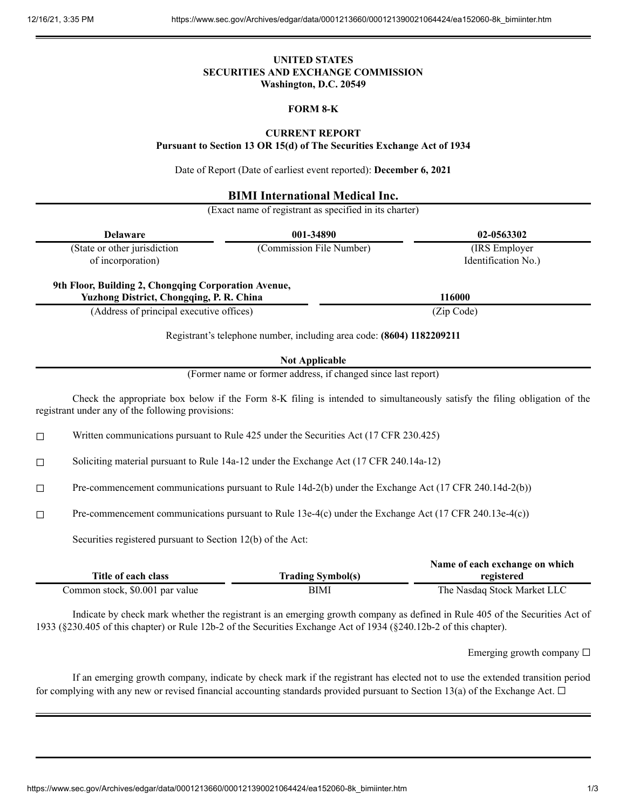### **UNITED STATES SECURITIES AND EXCHANGE COMMISSION Washington, D.C. 20549**

## **FORM 8-K**

### **CURRENT REPORT**

**Pursuant to Section 13 OR 15(d) of The Securities Exchange Act of 1934**

Date of Report (Date of earliest event reported): **December 6, 2021**

# **BIMI International Medical Inc.**

(Exact name of registrant as specified in its charter)

| (State or other jurisdiction<br>of incorporation)<br>9th Floor, Building 2, Chongqing Corporation Avenue,<br>Yuzhong District, Chongqing, P. R. China<br>(Address of principal executive offices) | 001-34890                                                             | 02-0563302                                                                                                                |  |
|---------------------------------------------------------------------------------------------------------------------------------------------------------------------------------------------------|-----------------------------------------------------------------------|---------------------------------------------------------------------------------------------------------------------------|--|
|                                                                                                                                                                                                   | (Commission File Number)                                              | (IRS Employer<br>Identification No.)                                                                                      |  |
|                                                                                                                                                                                                   |                                                                       | 116000                                                                                                                    |  |
|                                                                                                                                                                                                   |                                                                       | (Zip Code)                                                                                                                |  |
|                                                                                                                                                                                                   | Registrant's telephone number, including area code: (8604) 1182209211 |                                                                                                                           |  |
|                                                                                                                                                                                                   | <b>Not Applicable</b>                                                 |                                                                                                                           |  |
|                                                                                                                                                                                                   | (Former name or former address, if changed since last report)         |                                                                                                                           |  |
| registrant under any of the following provisions:                                                                                                                                                 |                                                                       | Check the appropriate box below if the Form 8-K filing is intended to simultaneously satisfy the filing obligation of the |  |
| Written communications pursuant to Rule 425 under the Securities Act (17 CFR 230.425)<br>□                                                                                                        |                                                                       |                                                                                                                           |  |
| Soliciting material pursuant to Rule 14a-12 under the Exchange Act (17 CFR 240.14a-12)<br>□                                                                                                       |                                                                       |                                                                                                                           |  |
| Pre-commencement communications pursuant to Rule 14d-2(b) under the Exchange Act (17 CFR 240.14d-2(b))<br>□                                                                                       |                                                                       |                                                                                                                           |  |
| Pre-commencement communications pursuant to Rule 13e-4(c) under the Exchange Act (17 CFR 240.13e-4(c))<br>$\Box$                                                                                  |                                                                       |                                                                                                                           |  |
| Securities registered pursuant to Section 12(b) of the Act:                                                                                                                                       |                                                                       |                                                                                                                           |  |
| Title of each class                                                                                                                                                                               |                                                                       | Name of each exchange on which                                                                                            |  |
| Common stock, \$0.001 par value                                                                                                                                                                   | <b>Trading Symbol(s)</b>                                              | registered                                                                                                                |  |

Indicate by check mark whether the registrant is an emerging growth company as defined in Rule 405 of the Securities Act of 1933 (§230.405 of this chapter) or Rule 12b-2 of the Securities Exchange Act of 1934 (§240.12b-2 of this chapter).

Emerging growth company  $\Box$ 

If an emerging growth company, indicate by check mark if the registrant has elected not to use the extended transition period for complying with any new or revised financial accounting standards provided pursuant to Section 13(a) of the Exchange Act.  $\Box$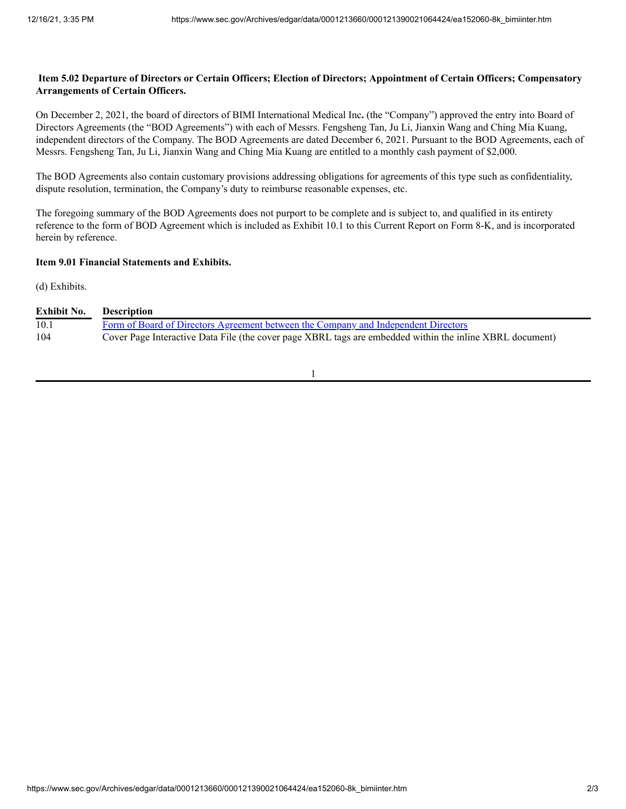## Item 5.02 Departure of Directors or Certain Officers; Election of Directors; Appointment of Certain Officers; Compensatory **Arrangements of Certain Officers.**

On December 2, 2021, the board of directors of BIMI International Medical Inc**.** (the "Company") approved the entry into Board of Directors Agreements (the "BOD Agreements") with each of Messrs. Fengsheng Tan, Ju Li, Jianxin Wang and Ching Mia Kuang, independent directors of the Company. The BOD Agreements are dated December 6, 2021. Pursuant to the BOD Agreements, each of Messrs. Fengsheng Tan, Ju Li, Jianxin Wang and Ching Mia Kuang are entitled to a monthly cash payment of \$2,000.

The BOD Agreements also contain customary provisions addressing obligations for agreements of this type such as confidentiality, dispute resolution, termination, the Company's duty to reimburse reasonable expenses, etc.

The foregoing summary of the BOD Agreements does not purport to be complete and is subject to, and qualified in its entirety reference to the form of BOD Agreement which is included as Exhibit 10.1 to this Current Report on Form 8-K, and is incorporated herein by reference.

### **Item 9.01 Financial Statements and Exhibits.**

(d) Exhibits.

| <b>Exhibit No.</b> | <b>Description</b>                                                                                       |
|--------------------|----------------------------------------------------------------------------------------------------------|
| 10.1               | Form of Board of Directors Agreement between the Company and Independent Directors                       |
| 104                | Cover Page Interactive Data File (the cover page XBRL tags are embedded within the inline XBRL document) |

1